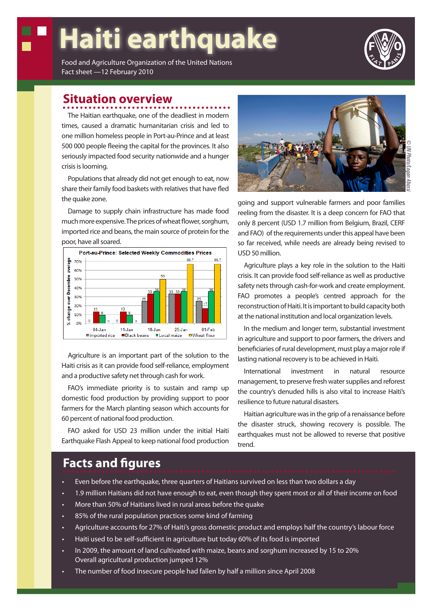# **Haiti earthquake**

Food and Agriculture Organization of the United Nations Fact sheet —12 February 2010

#### **Situation overview**

The Haitian earthquake, one of the deadliest in modern times, caused a dramatic humanitarian crisis and led to one million homeless people in Port-au-Prince and at least 500 000 people fleeing the capital for the provinces. It also seriously impacted food security nationwide and a hunger crisis is looming.

Populations that already did not get enough to eat, now share their family food baskets with relatives that have fled the quake zone.

Damage to supply chain infrastructure has made food much more expensive. The prices of wheat flower, sorghum, imported rice and beans, the main source of protein for the poor, have all soared.



Agriculture is an important part of the solution to the Haiti crisis as it can provide food self-reliance, employment and a productive safety net through cash for work.

FAO's immediate priority is to sustain and ramp up domestic food production by providing support to poor farmers for the March planting season which accounts for 60 percent of national food production.

FAO asked for USD 23 million under the initial Haiti Earthquake Flash Appeal to keep national food production



going and support vulnerable farmers and poor families reeling from the disaster. It is a deep concern for FAO that only 8 percent (USD 1.7 million from Belgium, Brazil, CERF and FAO) of the requirements under this appeal have been so far received, while needs are already being revised to USD 50 million.

Agriculture plays a key role in the solution to the Haiti crisis. It can provide food self-reliance as well as productive safety nets through cash-for-work and create employment. FAO promotes a people's centred approach for the reconstruction of Haiti. It is important to build capacity both at the national institution and local organization levels.

In the medium and longer term, substantial investment in agriculture and support to poor farmers, the drivers and beneficiaries of rural development, must play a major role if lasting national recovery is to be achieved in Haiti.

International investment in natural resource management, to preserve fresh water supplies and reforest the country's denuded hills is also vital to increase Haiti's resilience to future natural disasters.

Haitian agriculture was in the grip of a renaissance before the disaster struck, showing recovery is possible. The earthquakes must not be allowed to reverse that positive trend.

#### **Facts and figures**

- Even before the earthquake, three quarters of Haitians survived on less than two dollars a day
- 1.9 million Haitians did not have enough to eat, even though they spent most or all of their income on food
- More than 50% of Haitians lived in rural areas before the quake
- 85% of the rural population practices some kind of farming
- Agriculture accounts for 27% of Haiti's gross domestic product and employs half the country's labour force
- Haiti used to be self-sufficient in agriculture but today 60% of its food is imported
- In 2009, the amount of land cultivated with maize, beans and sorghum increased by 15 to 20% Overall agricultural production jumped 12%
- The number of food insecure people had fallen by half a million since April 2008